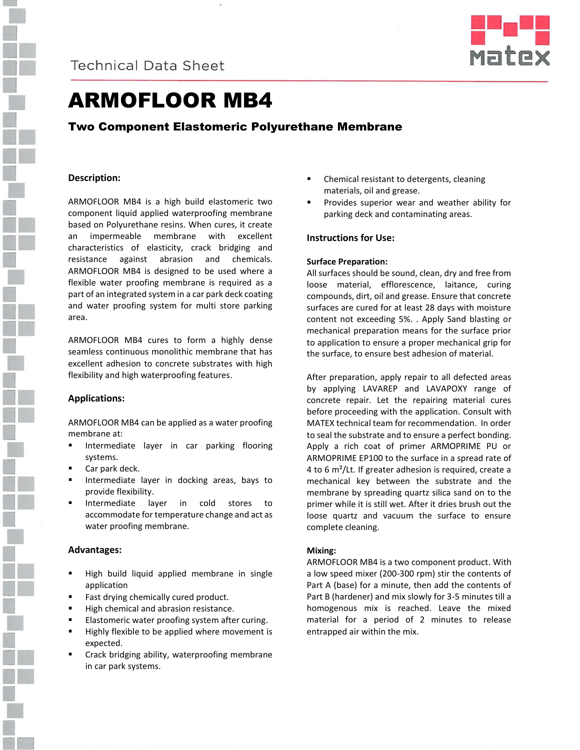



# ARMOFLOOR MB4

## Two Component Elastomeric Polyurethane Membrane

## **Description:**

ARMOFLOOR MB4 is a high build elastomeric two component liquid applied waterproofing membrane based on Polyurethane resins. When cures, it create an impermeable membrane with excellent characteristics of elasticity, crack bridging and resistance against abrasion and chemicals. ARMOFLOOR MB4 is designed to be used where a flexible water proofing membrane is required as a part of an integrated system in a car park deck coating and water proofing system for multi store parking area.

ARMOFLOOR MB4 cures to form a highly dense seamless continuous monolithic membrane that has excellent adhesion to concrete substrates with high flexibility and high waterproofing features.

## **Applications:**

ARMOFLOOR MB4 can be applied as a water proofing membrane at:

- Intermediate layer in car parking flooring systems.
- Car park deck.
- Intermediate layer in docking areas, bays to provide flexibility.
- Intermediate layer in cold stores to accommodate for temperature change and act as water proofing membrane.

## **Advantages:**

- High build liquid applied membrane in single application
- Fast drying chemically cured product.
- High chemical and abrasion resistance.
- Elastomeric water proofing system after curing.
- **Highly flexible to be applied where movement is** expected.
- Crack bridging ability, waterproofing membrane in car park systems.
- Chemical resistant to detergents, cleaning materials, oil and grease.
- **Provides superior wear and weather ability for** parking deck and contaminating areas.

## **Instructions for Use:**

#### **Surface Preparation:**

All surfaces should be sound, clean, dry and free from loose material, efflorescence, laitance, curing compounds, dirt, oil and grease. Ensure that concrete surfaces are cured for at least 28 days with moisture content not exceeding 5%. . Apply Sand blasting or mechanical preparation means for the surface prior to application to ensure a proper mechanical grip for the surface, to ensure best adhesion of material.

After preparation, apply repair to all defected areas by applying LAVAREP and LAVAPOXY range of concrete repair. Let the repairing material cures before proceeding with the application. Consult with MATEX technical team for recommendation. In order to seal the substrate and to ensure a perfect bonding. Apply a rich coat of primer ARMOPRIME PU or ARMOPRIME EP100 to the surface in a spread rate of 4 to 6  $m^2$ /Lt. If greater adhesion is required, create a mechanical key between the substrate and the membrane by spreading quartz silica sand on to the primer while it is still wet. After it dries brush out the loose quartz and vacuum the surface to ensure complete cleaning.

## **Mixing:**

ARMOFLOOR MB4 is a two component product. With a low speed mixer (200-300 rpm) stir the contents of Part A (base) for a minute, then add the contents of Part B (hardener) and mix slowly for 3-5 minutes till a homogenous mix is reached. Leave the mixed material for a period of 2 minutes to release entrapped air within the mix.